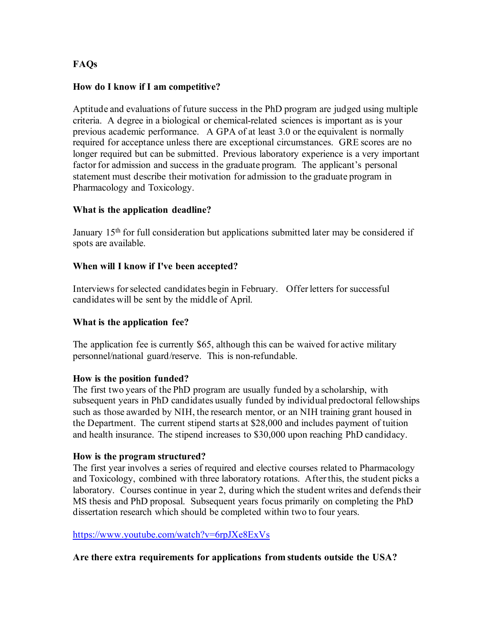# **FAQs**

## **How do I know if I am competitive?**

Aptitude and evaluations of future success in the PhD program are judged using multiple criteria. A degree in a biological or chemical-related sciences is important as is your previous academic performance. A GPA of at least 3.0 or the equivalent is normally required for acceptance unless there are exceptional circumstances. GRE scores are no longer required but can be submitted. Previous laboratory experience is a very important factor for admission and success in the graduate program. The applicant's personal statement must describe their motivation for admission to the graduate program in Pharmacology and Toxicology.

## **What is the application deadline?**

January 15<sup>th</sup> for full consideration but applications submitted later may be considered if spots are available.

## **When will I know if I've been accepted?**

Interviews for selected candidates begin in February. Offer letters for successful candidates will be sent by the middle of April.

#### **What is the application fee?**

The application fee is currently \$65, although this can be waived for active military personnel/national guard/reserve. This is non-refundable.

#### **How is the position funded?**

The first two years of the PhD program are usually funded by a scholarship, with subsequent years in PhD candidates usually funded by individual predoctoral fellowships such as those awarded by NIH, the research mentor, or an NIH training grant housed in the Department. The current stipend starts at \$28,000 and includes payment of tuition and health insurance. The stipend increases to \$30,000 upon reaching PhD candidacy.

# **How is the program structured?**

The first year involves a series of required and elective courses related to Pharmacology and Toxicology, combined with three laboratory rotations. After this, the student picks a laboratory. Courses continue in year 2, during which the student writes and defends their MS thesis and PhD proposal. Subsequent years focus primarily on completing the PhD dissertation research which should be completed within two to four years.

#### <https://www.youtube.com/watch?v=6rpJXe8ExVs>

**Are there extra requirements for applications from students outside the USA?**